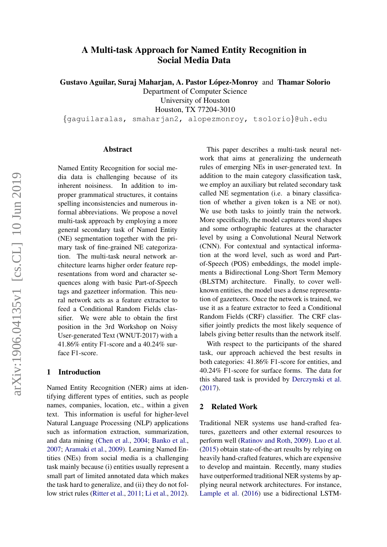# A Multi-task Approach for Named Entity Recognition in Social Media Data

Gustavo Aguilar, Suraj Maharjan, A. Pastor López-Monroy and Thamar Solorio

Department of Computer Science

University of Houston

Houston, TX 77204-3010

{gaguilaralas, smaharjan2, alopezmonroy, tsolorio}@uh.edu

#### Abstract

Named Entity Recognition for social media data is challenging because of its inherent noisiness. In addition to improper grammatical structures, it contains spelling inconsistencies and numerous informal abbreviations. We propose a novel multi-task approach by employing a more general secondary task of Named Entity (NE) segmentation together with the primary task of fine-grained NE categorization. The multi-task neural network architecture learns higher order feature representations from word and character sequences along with basic Part-of-Speech tags and gazetteer information. This neural network acts as a feature extractor to feed a Conditional Random Fields classifier. We were able to obtain the first position in the 3rd Workshop on Noisy User-generated Text (WNUT-2017) with a 41.86% entity F1-score and a 40.24% surface F1-score.

#### 1 Introduction

Named Entity Recognition (NER) aims at identifying different types of entities, such as people names, companies, location, etc., within a given text. This information is useful for higher-level Natural Language Processing (NLP) applications such as information extraction, summarization, and data mining [\(Chen et al.,](#page-4-0) [2004;](#page-4-0) [Banko et al.,](#page-4-1) [2007;](#page-4-1) [Aramaki et al.,](#page-4-2) [2009\)](#page-4-2). Learning Named Entities (NEs) from social media is a challenging task mainly because (i) entities usually represent a small part of limited annotated data which makes the task hard to generalize, and (ii) they do not follow strict rules [\(Ritter et al.,](#page-5-0) [2011;](#page-5-0) [Li et al.,](#page-5-1) [2012\)](#page-5-1).

This paper describes a multi-task neural network that aims at generalizing the underneath rules of emerging NEs in user-generated text. In addition to the main category classification task, we employ an auxiliary but related secondary task called NE segmentation (i.e. a binary classification of whether a given token is a NE or not). We use both tasks to jointly train the network. More specifically, the model captures word shapes and some orthographic features at the character level by using a Convolutional Neural Network (CNN). For contextual and syntactical information at the word level, such as word and Partof-Speech (POS) embeddings, the model implements a Bidirectional Long-Short Term Memory (BLSTM) architecture. Finally, to cover wellknown entities, the model uses a dense representation of gazetteers. Once the network is trained, we use it as a feature extractor to feed a Conditional Random Fields (CRF) classifier. The CRF classifier jointly predicts the most likely sequence of labels giving better results than the network itself.

With respect to the participants of the shared task, our approach achieved the best results in both categories: 41.86% F1-score for entities, and 40.24% F1-score for surface forms. The data for this shared task is provided by [Derczynski et al.](#page-4-3) [\(2017\)](#page-4-3).

## 2 Related Work

Traditional NER systems use hand-crafted features, gazetteers and other external resources to perform well [\(Ratinov and Roth,](#page-5-2) [2009\)](#page-5-2). [Luo et al.](#page-5-3) [\(2015\)](#page-5-3) obtain state-of-the-art results by relying on heavily hand-crafted features, which are expensive to develop and maintain. Recently, many studies have outperformed traditional NER systems by applying neural network architectures. For instance, [Lample et al.](#page-5-4) [\(2016\)](#page-5-4) use a bidirectional LSTM-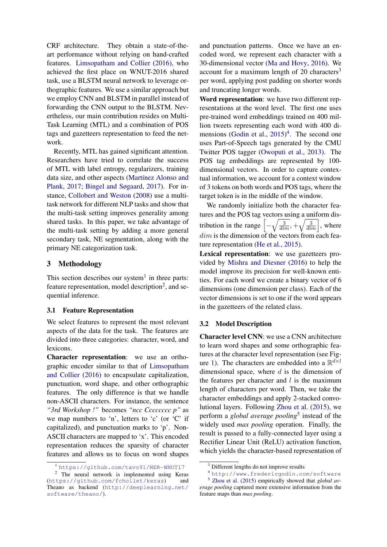CRF architecture. They obtain a state-of-theart performance without relying on hand-crafted features. [Limsopatham and Collier](#page-5-5) [\(2016\)](#page-5-5), who achieved the first place on WNUT-2016 shared task, use a BLSTM neural network to leverage orthographic features. We use a similar approach but we employ CNN and BLSTM in parallel instead of forwarding the CNN output to the BLSTM. Nevertheless, our main contribution resides on Multi-Task Learning (MTL) and a combination of POS tags and gazetteers representation to feed the network.

Recently, MTL has gained significant attention. Researchers have tried to correlate the success of MTL with label entropy, regularizers, training data size, and other aspects (Martínez Alonso and [Plank,](#page-5-6) [2017;](#page-5-6) [Bingel and Søgaard,](#page-4-4) [2017\)](#page-4-4). For instance, [Collobert and Weston](#page-4-5) [\(2008\)](#page-4-5) use a multitask network for different NLP tasks and show that the multi-task setting improves generality among shared tasks. In this paper, we take advantage of the multi-task setting by adding a more general secondary task, NE segmentation, along with the primary NE categorization task.

# 3 Methodology

This section describes our system<sup>[1](#page-1-0)</sup> in three parts: feature representation, model description<sup>[2](#page-1-1)</sup>, and sequential inference.

#### <span id="page-1-5"></span>3.1 Feature Representation

We select features to represent the most relevant aspects of the data for the task. The features are divided into three categories: character, word, and lexicons.

Character representation: we use an orthographic encoder similar to that of [Limsopatham](#page-5-5) [and Collier](#page-5-5) [\(2016\)](#page-5-5) to encapsulate capitalization, punctuation, word shape, and other orthographic features. The only difference is that we handle non-ASCII characters. For instance, the sentence *"3rd Workshop !"* becomes *"ncc Cccccccc p"* as we map numbers to 'n', letters to 'c' (or 'C' if capitalized), and punctuation marks to 'p'. Non-ASCII characters are mapped to 'x'. This encoded representation reduces the sparsity of character features and allows us to focus on word shapes and punctuation patterns. Once we have an encoded word, we represent each character with a 30-dimensional vector [\(Ma and Hovy,](#page-5-7) [2016\)](#page-5-7). We account for a maximum length of  $20$  characters<sup>[3](#page-1-2)</sup> per word, applying post padding on shorter words and truncating longer words.

Word representation: we have two different representations at the word level. The first one uses pre-trained word embeddings trained on 400 million tweets representing each word with 400 di-mensions [\(Godin et al.,](#page-5-8) [2015\)](#page-5-8)<sup>[4](#page-1-3)</sup>. The second one uses Part-of-Speech tags generated by the CMU Twitter POS tagger [\(Owoputi et al.,](#page-5-9) [2013\)](#page-5-9). The POS tag embeddings are represented by 100 dimensional vectors. In order to capture contextual information, we account for a context window of 3 tokens on both words and POS tags, where the target token is in the middle of the window.

We randomly initialize both the character features and the POS tag vectors using a uniform distribution in the range  $\left[-\sqrt{\frac{3}{dim}}\right, +\sqrt{\frac{3}{dim}}\right]$ , where  $dim$  is the dimension of the vectors from each feature representation [\(He et al.,](#page-5-10) [2015\)](#page-5-10).

Lexical representation: we use gazetteers provided by [Mishra and Diesner](#page-5-11) [\(2016\)](#page-5-11) to help the model improve its precision for well-known entities. For each word we create a binary vector of 6 dimensions (one dimension per class). Each of the vector dimensions is set to one if the word appears in the gazetteers of the related class.

#### 3.2 Model Description

Character level CNN: we use a CNN architecture to learn word shapes and some orthographic features at the character level representation (see Fig-ure [1\)](#page-2-0). The characters are embedded into a  $\mathbb{R}^{d \times l}$ dimensional space, where  $d$  is the dimension of the features per character and  $l$  is the maximum length of characters per word. Then, we take the character embeddings and apply 2-stacked convolutional layers. Following [Zhou et al.](#page-5-12) [\(2015\)](#page-5-12), we perform a *global average pooling*[5](#page-1-4) instead of the widely used *max pooling* operation. Finally, the result is passed to a fully-connected layer using a Rectifier Linear Unit (ReLU) activation function, which yields the character-based representation of

<span id="page-1-1"></span><span id="page-1-0"></span><sup>1</sup> <https://github.com/tavo91/NER-WNUT17>

<sup>&</sup>lt;sup>2</sup> The neural network is implemented using Keras (<https://github.com/fchollet/keras>) and Theano as backend ([http://deeplearning.net/](http://deeplearning.net/software/theano/) [software/theano/](http://deeplearning.net/software/theano/)).

<span id="page-1-2"></span><sup>&</sup>lt;sup>3</sup> Different lengths do not improve results

<span id="page-1-4"></span><span id="page-1-3"></span><sup>4</sup> <http://www.fredericgodin.com/software>

<sup>5</sup> [Zhou et al.](#page-5-12) [\(2015\)](#page-5-12) empirically showed that *global average pooling* captured more extensive information from the feature maps than *max pooling*.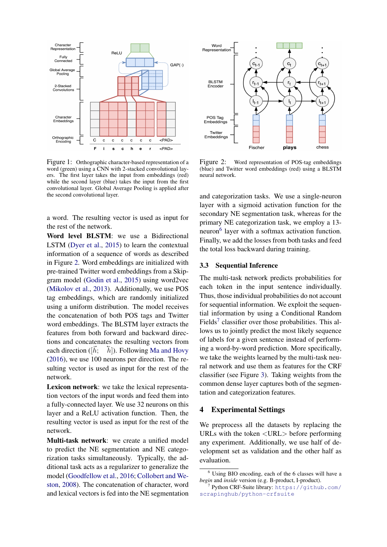

<span id="page-2-0"></span>Figure 1: Orthographic character-based representation of a word (green) using a CNN with 2-stacked convolutional layers. The first layer takes the input from embeddings (red) while the second layer (blue) takes the input from the first convolutional layer. Global Average Pooling is applied after the second convolutional layer.

a word. The resulting vector is used as input for the rest of the network.

Word level BLSTM: we use a Bidirectional LSTM [\(Dyer et al.,](#page-5-13) [2015\)](#page-5-13) to learn the contextual information of a sequence of words as described in Figure [2.](#page-2-1) Word embeddings are initialized with pre-trained Twitter word embeddings from a Skipgram model [\(Godin et al.,](#page-5-8) [2015\)](#page-5-8) using word2vec [\(Mikolov et al.,](#page-5-14) [2013\)](#page-5-14). Additionally, we use POS tag embeddings, which are randomly initialized using a uniform distribution. The model receives the concatenation of both POS tags and Twitter word embeddings. The BLSTM layer extracts the features from both forward and backward directions and concatenates the resulting vectors from each direction ( $[h;$  $[h]$ ). Following [Ma and Hovy](#page-5-7) [\(2016\)](#page-5-7), we use 100 neurons per direction. The resulting vector is used as input for the rest of the network.

Lexicon network: we take the lexical representation vectors of the input words and feed them into a fully-connected layer. We use 32 neurons on this layer and a ReLU activation function. Then, the resulting vector is used as input for the rest of the network.

Multi-task network: we create a unified model to predict the NE segmentation and NE categorization tasks simultaneously. Typically, the additional task acts as a regularizer to generalize the model [\(Goodfellow et al.,](#page-5-15) [2016;](#page-5-15) [Collobert and We](#page-4-5)[ston,](#page-4-5) [2008\)](#page-4-5). The concatenation of character, word and lexical vectors is fed into the NE segmentation



<span id="page-2-1"></span>Figure 2: Word representation of POS-tag embeddings (blue) and Twitter word embeddings (red) using a BLSTM neural network.

and categorization tasks. We use a single-neuron layer with a sigmoid activation function for the secondary NE segmentation task, whereas for the primary NE categorization task, we employ a 13- neuron<sup>[6](#page-2-2)</sup> layer with a softmax activation function. Finally, we add the losses from both tasks and feed the total loss backward during training.

#### 3.3 Sequential Inference

The multi-task network predicts probabilities for each token in the input sentence individually. Thus, those individual probabilities do not account for sequential information. We exploit the sequential information by using a Conditional Random Fields<sup>[7](#page-2-3)</sup> classifier over those probabilities. This allows us to jointly predict the most likely sequence of labels for a given sentence instead of performing a word-by-word prediction. More specifically, we take the weights learned by the multi-task neural network and use them as features for the CRF classifier (see Figure [3\)](#page-3-0). Taking weights from the common dense layer captures both of the segmentation and categorization features.

#### 4 Experimental Settings

We preprocess all the datasets by replacing the URLs with the token <URL> before performing any experiment. Additionally, we use half of development set as validation and the other half as evaluation.

<span id="page-2-2"></span><sup>6</sup> Using BIO encoding, each of the 6 classes will have a *begin* and *inside* version (e.g. B-product, I-product).

<span id="page-2-3"></span><sup>7</sup> Python CRF-Suite library: [https://github.com/](https://github.com/scrapinghub/python-crfsuite) [scrapinghub/python-crfsuite](https://github.com/scrapinghub/python-crfsuite)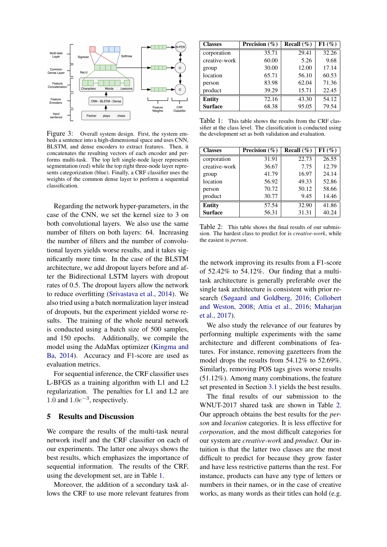

<span id="page-3-0"></span>Figure 3: Overall system design. First, the system embeds a sentence into a high-dimensional space and uses CNN, BLSTM, and dense encoders to extract features. Then, it concatenates the resulting vectors of each encoder and performs multi-task. The top left single-node layer represents segmentation (red) while the top right three-node layer represents categorization (blue). Finally, a CRF classifier uses the weights of the common dense layer to perform a sequential classification.

Regarding the network hyper-parameters, in the case of the CNN, we set the kernel size to 3 on both convolutional layers. We also use the same number of filters on both layers: 64. Increasing the number of filters and the number of convolutional layers yields worse results, and it takes significantly more time. In the case of the BLSTM architecture, we add dropout layers before and after the Bidirectional LSTM layers with dropout rates of 0.5. The dropout layers allow the network to reduce overfitting [\(Srivastava et al.,](#page-5-16) [2014\)](#page-5-16). We also tried using a batch normalization layer instead of dropouts, but the experiment yielded worse results. The training of the whole neural network is conducted using a batch size of 500 samples, and 150 epochs. Additionally, we compile the model using the AdaMax optimizer [\(Kingma and](#page-5-17) [Ba,](#page-5-17) [2014\)](#page-5-17). Accuracy and F1-score are used as evaluation metrics.

For sequential inference, the CRF classifier uses L-BFGS as a training algorithm with L1 and L2 regularization. The penalties for L1 and L2 are 1.0 and  $1.0e^{-3}$ , respectively.

#### 5 Results and Discussion

We compare the results of the multi-task neural network itself and the CRF classifier on each of our experiments. The latter one always shows the best results, which emphasizes the importance of sequential information. The results of the CRF, using the development set, are in Table [1.](#page-3-1)

Moreover, the addition of a secondary task allows the CRF to use more relevant features from

| <b>Classes</b> | Precision $(\% )$ | Recall $(\%)$ | F1(%) |
|----------------|-------------------|---------------|-------|
| corporation    | 35.71             | 29.41         | 32.26 |
| creative-work  | 60.00             | 5.26          | 9.68  |
| group          | 30.00             | 12.00         | 17.14 |
| location       | 65.71             | 56.10         | 60.53 |
| person         | 83.98             | 62.04         | 71.36 |
| product        | 39.29             | 15.71         | 22.45 |
| <b>Entity</b>  | 72.16             | 43.30         | 54.12 |
| <b>Surface</b> | 68.38             | 95.05         | 79.54 |

<span id="page-3-1"></span>Table 1: This table shows the results from the CRF classifier at the class level. The classification is conducted using the development set as both validation and evaluation.

| <b>Classes</b> | Precision $(\% )$ | Recall $(\%)$ | F1(%) |
|----------------|-------------------|---------------|-------|
| corporation    | 31.91             | 22.73         | 26.55 |
| creative-work  | 36.67             | 7.75          | 12.79 |
| group          | 41.79             | 16.97         | 24.14 |
| location       | 56.92             | 49.33         | 52.86 |
| person         | 70.72             | 50.12         | 58.66 |
| product        | 30.77             | 9.45          | 14.46 |
| <b>Entity</b>  | 57.54             | 32.90         | 41.86 |
| <b>Surface</b> | 56.31             | 31.31         | 40.24 |

<span id="page-3-2"></span>Table 2: This table shows the final results of our submission. The hardest class to predict for is *creative-work*, while the easiest is *person*.

the network improving its results from a F1-score of 52.42% to 54.12%. Our finding that a multitask architecture is generally preferable over the single task architecture is consistent with prior research [\(Søgaard and Goldberg,](#page-5-18) [2016;](#page-5-18) [Collobert](#page-4-5) [and Weston,](#page-4-5) [2008;](#page-4-5) [Attia et al.,](#page-4-6) [2016;](#page-4-6) [Maharjan](#page-5-19) [et al.,](#page-5-19) [2017\)](#page-5-19).

We also study the relevance of our features by performing multiple experiments with the same architecture and different combinations of features. For instance, removing gazetteers from the model drops the results from 54.12% to 52.69%. Similarly, removing POS tags gives worse results (51.12%). Among many combinations, the feature set presented in Section [3.1](#page-1-5) yields the best results.

The final results of our submission to the WNUT-2017 shared task are shown in Table [2.](#page-3-2) Our approach obtains the best results for the *person* and *location* categories. It is less effective for *corporation*, and the most difficult categories for our system are *creative-work* and *product*. Our intuition is that the latter two classes are the most difficult to predict for because they grow faster and have less restrictive patterns than the rest. For instance, products can have any type of letters or numbers in their names, or in the case of creative works, as many words as their titles can hold (e.g.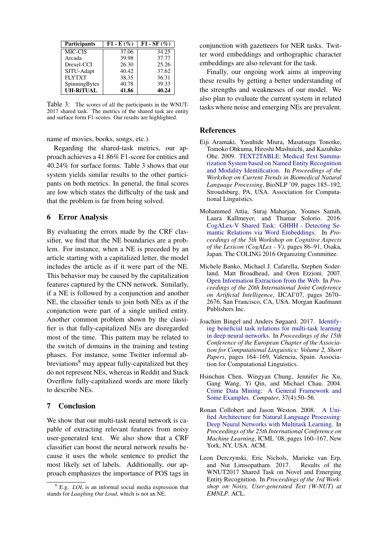| <b>Participants</b> | $F1 - E(\%)$ | $F1 - SF(%)$ |
|---------------------|--------------|--------------|
| MIC-CIS             | 37.06        | 34.25        |
| Arcada              | 39.98        | 37.77        |
| Drexel-CCI          | 26.30        | 25.26        |
| SJTU-Adapt          | 40.42        | 37.62        |
| <b>FLYTXT</b>       | 38.35        | 36.31        |
| SpinningBytes       | 40.78        | 39.33        |
| <b>UH-RITUAL</b>    | 41.86        | 40.24        |

<span id="page-4-7"></span>Table 3: The scores of all the participants in the WNUT-2017 shared task. The metrics of the shared task are entity and surface form F1-scores. Our results are highlighted.

name of movies, books, songs, etc.).

Regarding the shared-task metrics, our approach achieves a 41.86% F1-score for entities and 40.24% for surface forms. Table [3](#page-4-7) shows that our system yields similar results to the other participants on both metrics. In general, the final scores are low which states the difficulty of the task and that the problem is far from being solved.

## 6 Error Analysis

By evaluating the errors made by the CRF classifier, we find that the NE boundaries are a problem. For instance, when a NE is preceded by an article starting with a capitalized letter, the model includes the article as if it were part of the NE. This behavior may be caused by the capitalization features captured by the CNN network. Similarly, if a NE is followed by a conjunction and another NE, the classifier tends to join both NEs as if the conjunction were part of a single unified entity. Another common problem shown by the classifier is that fully-capitalized NEs are disregarded most of the time. This pattern may be related to the switch of domains in the training and testing phases. For instance, some Twitter informal ab-breviations<sup>[8](#page-4-8)</sup> may appear fully-capitalized but they do not represent NEs, whereas in Reddit and Stack Overflow fully-capitalized words are more likely to describe NEs.

## 7 Conclusion

We show that our multi-task neural network is capable of extracting relevant features from noisy user-generated text. We also show that a CRF classifier can boost the neural network results because it uses the whole sentence to predict the most likely set of labels. Additionally, our approach emphasizes the importance of POS tags in conjunction with gazetteers for NER tasks. Twitter word embeddings and orthographic character embeddings are also relevant for the task.

Finally, our ongoing work aims at improving these results by getting a better understanding of the strengths and weaknesses of our model. We also plan to evaluate the current system in related tasks where noise and emerging NEs are prevalent.

## References

- <span id="page-4-2"></span>Eiji Aramaki, Yasuhide Miura, Masatsugu Tonoike, Tomoko Ohkuma, Hiroshi Mashuichi, and Kazuhiko Ohe. 2009. [TEXT2TABLE: Medical Text Summa](http://dl.acm.org/citation.cfm?id=1572364.1572390)[rization System based on Named Entity Recognition](http://dl.acm.org/citation.cfm?id=1572364.1572390) [and Modality Identification.](http://dl.acm.org/citation.cfm?id=1572364.1572390) In *Proceedings of the Workshop on Current Trends in Biomedical Natural Language Processing*, BioNLP '09, pages 185–192, Stroudsburg, PA, USA. Association for Computational Linguistics.
- <span id="page-4-6"></span>Mohammed Attia, Suraj Maharjan, Younes Samih, Laura Kallmeyer, and Thamar Solorio. 2016. [CogALex-V Shared Task: GHHH - Detecting Se](http://aclweb.org/anthology/W16-5311)[mantic Relations via Word Embeddings.](http://aclweb.org/anthology/W16-5311) In *Proceedings of the 5th Workshop on Cognitive Aspects of the Lexicon (CogALex - V)*, pages 86–91, Osaka, Japan. The COLING 2016 Organizing Committee.
- <span id="page-4-1"></span>Michele Banko, Michael J. Cafarella, Stephen Soderland, Matt Broadhead, and Oren Etzioni. 2007. [Open Information Extraction from the Web.](http://dl.acm.org/citation.cfm?id=1625275.1625705) In *Proceedings of the 20th International Joint Conference on Artificial Intelligence*, IJCAI'07, pages 2670– 2676, San Francisco, CA, USA. Morgan Kaufmann Publishers Inc.
- <span id="page-4-4"></span>Joachim Bingel and Anders Søgaard. 2017. [Identify](http://www.aclweb.org/anthology/E17-2026)[ing beneficial task relations for multi-task learning](http://www.aclweb.org/anthology/E17-2026) [in deep neural networks.](http://www.aclweb.org/anthology/E17-2026) In *Proceedings of the 15th Conference of the European Chapter of the Association for Computational Linguistics: Volume 2, Short Papers*, pages 164–169, Valencia, Spain. Association for Computational Linguistics.
- <span id="page-4-0"></span>Hsinchun Chen, Wingyan Chung, Jennifer Jie Xu, Gang Wang, Yi Qin, and Michael Chau. 2004. [Crime Data Mining: A General Framework and](https://doi.org/10.1109/MC.2004.1297301) [Some Examples.](https://doi.org/10.1109/MC.2004.1297301) *Computer*, 37(4):50–56.
- <span id="page-4-5"></span>Ronan Collobert and Jason Weston. 2008. [A Uni](https://doi.org/10.1145/1390156.1390177)[fied Architecture for Natural Language Processing:](https://doi.org/10.1145/1390156.1390177) [Deep Neural Networks with Multitask Learning.](https://doi.org/10.1145/1390156.1390177) In *Proceedings of the 25th International Conference on Machine Learning*, ICML '08, pages 160–167, New York, NY, USA. ACM.
- <span id="page-4-3"></span>Leon Derczynski, Eric Nichols, Marieke van Erp, and Nut Limsopatham. 2017. Results of the WNUT2017 Shared Task on Novel and Emerging Entity Recognition. In *Proceedings of the 3rd Workshop on Noisy, User-generated Text (W-NUT) at EMNLP*. ACL.

<span id="page-4-8"></span><sup>8</sup> E.g. *LOL* is an informal social media expression that stands for *Laughing Out Loud*, which is not an NE.